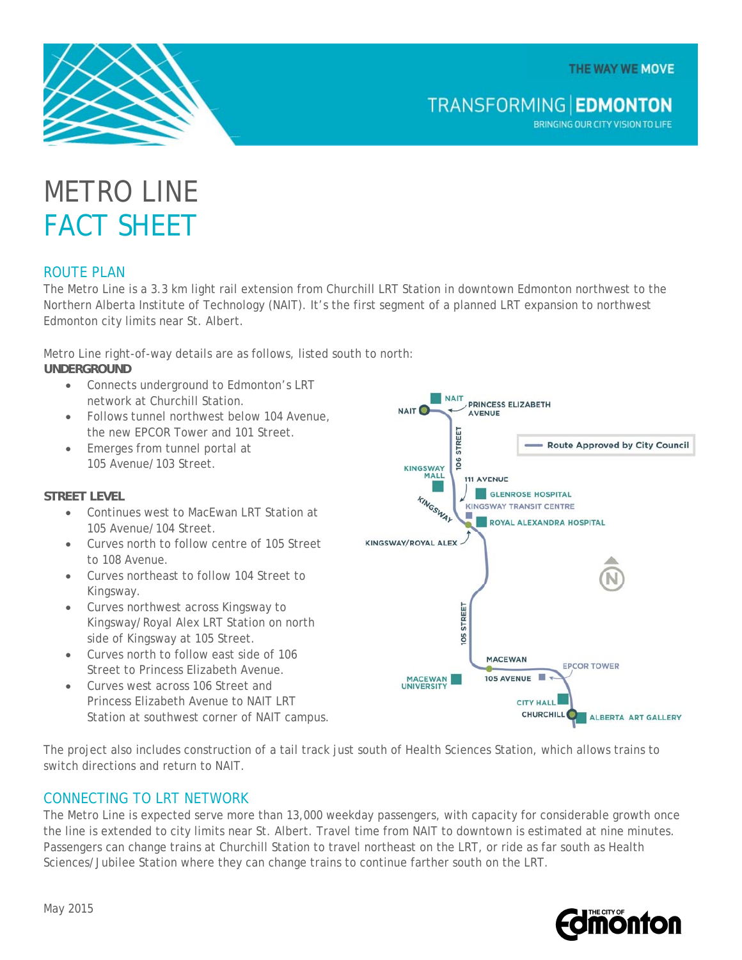THE WAY WE MOVE



**TRANSFORMING EDMONTON** 

BRINGING OUR CITY VISION TO LIFE

# METRO LINE FACT SHEET

# ROUTE PLAN

The Metro Line is a 3.3 km light rail extension from Churchill LRT Station in downtown Edmonton northwest to the Northern Alberta Institute of Technology (NAIT). It's the first segment of a planned LRT expansion to northwest Edmonton city limits near St. Albert.

Metro Line right-of-way details are as follows, listed south to north: **UNDERGROUND** 

- Connects underground to Edmonton's LRT network at Churchill Station.
- Follows tunnel northwest below 104 Avenue. the new EPCOR Tower and 101 Street.
- Emerges from tunnel portal at 105 Avenue/103 Street.

#### **STREET LEVEL**

- Continues west to MacEwan LRT Station at 105 Avenue/104 Street.
- Curves north to follow centre of 105 Street to 108 Avenue.
- Curves northeast to follow 104 Street to Kingsway.
- Curves northwest across Kingsway to Kingsway/Royal Alex LRT Station on north side of Kingsway at 105 Street.
- Curves north to follow east side of 106 Street to Princess Elizabeth Avenue.
- Curves west across 106 Street and Princess Elizabeth Avenue to NAIT LRT Station at southwest corner of NAIT campus.



The project also includes construction of a tail track just south of Health Sciences Station, which allows trains to switch directions and return to NAIT.

#### CONNECTING TO LRT NETWORK

The Metro Line is expected serve more than 13,000 weekday passengers, with capacity for considerable growth once the line is extended to city limits near St. Albert. Travel time from NAIT to downtown is estimated at nine minutes. Passengers can change trains at Churchill Station to travel northeast on the LRT, or ride as far south as Health Sciences/Jubilee Station where they can change trains to continue farther south on the LRT.